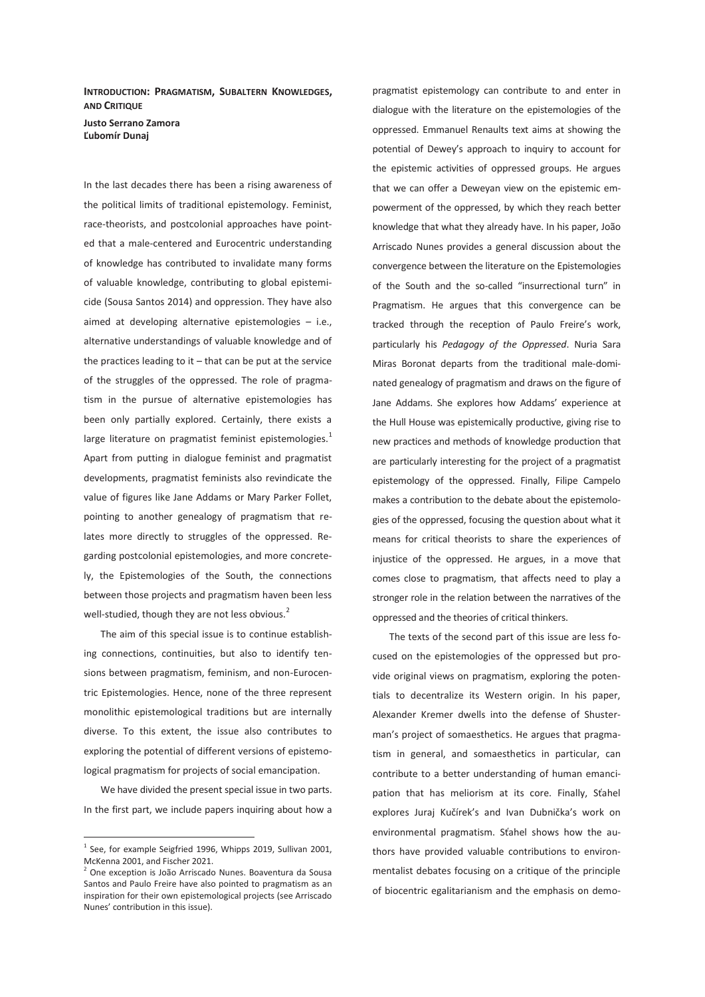**INTRODUCTION: PRAGMATISM, SUBALTERN KNOWLEDGES, AND CRITIQUE Justo Serrano Zamora Ľubomír Dunaj** 

In the last decades there has been a rising awareness of the political limits of traditional epistemology. Feminist, race-theorists, and postcolonial approaches have pointed that a male-centered and Eurocentric understanding of knowledge has contributed to invalidate many forms of valuable knowledge, contributing to global epistemicide (Sousa Santos 2014) and oppression. They have also aimed at developing alternative epistemologies – i.e., alternative understandings of valuable knowledge and of the practices leading to it  $-$  that can be put at the service of the struggles of the oppressed. The role of pragmatism in the pursue of alternative epistemologies has been only partially explored. Certainly, there exists a large literature on pragmatist feminist epistemologies. $<sup>1</sup>$ </sup> Apart from putting in dialogue feminist and pragmatist developments, pragmatist feminists also revindicate the value of figures like Jane Addams or Mary Parker Follet, pointing to another genealogy of pragmatism that relates more directly to struggles of the oppressed. Regarding postcolonial epistemologies, and more concretely, the Epistemologies of the South, the connections between those projects and pragmatism haven been less well-studied, though they are not less obvious. $^2$ 

The aim of this special issue is to continue establishing connections, continuities, but also to identify tensions between pragmatism, feminism, and non-Eurocentric Epistemologies. Hence, none of the three represent monolithic epistemological traditions but are internally diverse. To this extent, the issue also contributes to exploring the potential of different versions of epistemological pragmatism for projects of social emancipation.

We have divided the present special issue in two parts. In the first part, we include papers inquiring about how a

 $\overline{a}$ 

pragmatist epistemology can contribute to and enter in dialogue with the literature on the epistemologies of the oppressed. Emmanuel Renaults text aims at showing the potential of Dewey's approach to inquiry to account for the epistemic activities of oppressed groups. He argues that we can offer a Deweyan view on the epistemic empowerment of the oppressed, by which they reach better knowledge that what they already have. In his paper, João Arriscado Nunes provides a general discussion about the convergence between the literature on the Epistemologies of the South and the so-called "insurrectional turn" in Pragmatism. He argues that this convergence can be tracked through the reception of Paulo Freire's work, particularly his *Pedagogy of the Oppressed*. Nuria Sara Miras Boronat departs from the traditional male-dominated genealogy of pragmatism and draws on the figure of Jane Addams. She explores how Addams' experience at the Hull House was epistemically productive, giving rise to new practices and methods of knowledge production that are particularly interesting for the project of a pragmatist epistemology of the oppressed. Finally, Filipe Campelo makes a contribution to the debate about the epistemologies of the oppressed, focusing the question about what it means for critical theorists to share the experiences of injustice of the oppressed. He argues, in a move that comes close to pragmatism, that affects need to play a stronger role in the relation between the narratives of the oppressed and the theories of critical thinkers.

The texts of the second part of this issue are less focused on the epistemologies of the oppressed but provide original views on pragmatism, exploring the potentials to decentralize its Western origin. In his paper, Alexander Kremer dwells into the defense of Shusterman's project of somaesthetics. He argues that pragmatism in general, and somaesthetics in particular, can contribute to a better understanding of human emancipation that has meliorism at its core. Finally, Sťahel explores Juraj Kučírek's and Ivan Dubnička's work on environmental pragmatism. Sťahel shows how the authors have provided valuable contributions to environmentalist debates focusing on a critique of the principle of biocentric egalitarianism and the emphasis on demo-

<sup>&</sup>lt;sup>1</sup> See, for example Seigfried 1996, Whipps 2019, Sullivan 2001, McKenna 2001, and Fischer 2021.

<sup>2</sup> One exception is João Arriscado Nunes. Boaventura da Sousa Santos and Paulo Freire have also pointed to pragmatism as an inspiration for their own epistemological projects (see Arriscado Nunes' contribution in this issue).